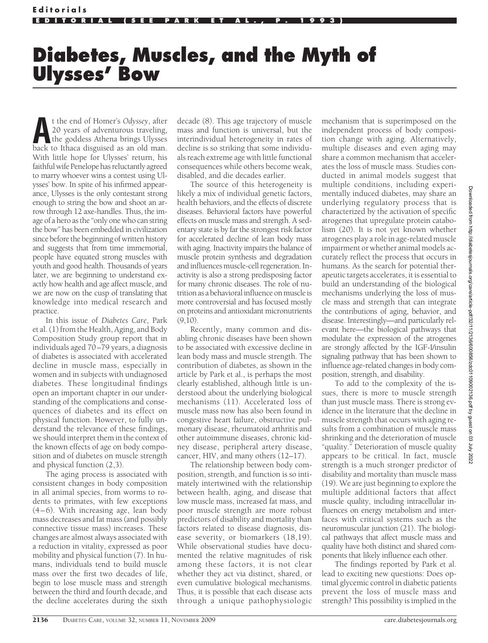## **Diabetes, Muscles, and the Myth of Ulysses' Bow**

t the end of Homer's *Odyssey*, after<br>
20 years of adventurous traveling,<br>
the goddess Athena brings Ulysses<br>
back to Ithaca disguised as an old man 20 years of adventurous traveling, back to Ithaca disguised as an old man. With little hope for Ulysses' return, his faithful wife Penelope has reluctantly agreed to marry whoever wins a contest using Ulysses' bow. In spite of his infirmed appearance, Ulysses is the only contestant strong enough to string the bow and shoot an arrow through 12 axe-handles. Thus, the image of a hero as the "only one who can string the bow" has been embedded in civilization since before the beginning of written history and suggests that from time immemorial, people have equated strong muscles with youth and good health. Thousands of years later, we are beginning to understand exactly how health and age affect muscle, and we are now on the cusp of translating that knowledge into medical research and practice.

In this issue of *Diabetes Care*, Park et al. (1) from the Health, Aging, and Body Composition Study group report that in individuals aged 70–79 years, a diagnosis of diabetes is associated with accelerated decline in muscle mass, especially in women and in subjects with undiagnosed diabetes. These longitudinal findings open an important chapter in our understanding of the complications and consequences of diabetes and its effect on physical function. However, to fully understand the relevance of these findings, we should interpret them in the context of the known effects of age on body composition and of diabetes on muscle strength and physical function (2,3).

The aging process is associated with consistent changes in body composition in all animal species, from worms to rodents to primates, with few exceptions (4–6). With increasing age, lean body mass decreases and fat mass (and possibly connective tissue mass) increases. These changes are almost always associated with a reduction in vitality, expressed as poor mobility and physical function (7). In humans, individuals tend to build muscle mass over the first two decades of life, begin to lose muscle mass and strength between the third and fourth decade, and the decline accelerates during the sixth

decade (8). This age trajectory of muscle mass and function is universal, but the interindividual heterogeneity in rates of decline is so striking that some individuals reach extreme age with little functional consequences while others become weak, disabled, and die decades earlier.

The source of this heterogeneity is likely a mix of individual genetic factors, health behaviors, and the effects of discrete diseases. Behavioral factors have powerful effects on muscle mass and strength. A sedentary state is by far the strongest risk factor for accelerated decline of lean body mass with aging. Inactivity impairs the balance of muscle protein synthesis and degradation and influences muscle-cell regeneration. Inactivity is also a strong predisposing factor for many chronic diseases. The role of nutrition as a behavioral influence on muscle is more controversial and has focused mostly on proteins and antioxidant micronutrients  $(9,10)$ .

Recently, many common and disabling chronic diseases have been shown to be associated with excessive decline in lean body mass and muscle strength. The contribution of diabetes, as shown in the article by Park et al., is perhaps the most clearly established, although little is understood about the underlying biological mechanisms (11). Accelerated loss of muscle mass now has also been found in congestive heart failure, obstructive pulmonary disease, rheumatoid arthritis and other autoimmune diseases, chronic kidney disease, peripheral artery disease, cancer, HIV, and many others (12–17).

The relationship between body composition, strength, and function is so intimately intertwined with the relationship between health, aging, and disease that low muscle mass, increased fat mass, and poor muscle strength are more robust predictors of disability and mortality than factors related to disease diagnosis, disease severity, or biomarkers (18,19). While observational studies have documented the relative magnitudes of risk among these factors, it is not clear whether they act via distinct, shared, or even cumulative biological mechanisms. Thus, it is possible that each disease acts through a unique pathophysiologic

mechanism that is superimposed on the independent process of body composition change with aging. Alternatively, multiple diseases and even aging may share a common mechanism that accelerates the loss of muscle mass. Studies conducted in animal models suggest that multiple conditions, including experimentally induced diabetes, may share an underlying regulatory process that is characterized by the activation of specific atrogenes that upregulate protein catabolism (20). It is not yet known whether atrogenes play a role in age-related muscle impairment or whether animal models accurately reflect the process that occurs in humans. As the search for potential therapeutic targets accelerates, it is essential to build an understanding of the biological mechanisms underlying the loss of muscle mass and strength that can integrate the contributions of aging, behavior, and disease. Interestingly—and particularly relevant here—the biological pathways that modulate the expression of the atrogenes are strongly affected by the IGF-I/insulin signaling pathway that has been shown to influence age-related changes in body composition, strength, and disability.

To add to the complexity of the issues, there is more to muscle strength than just muscle mass. There is strong evidence in the literature that the decline in muscle strength that occurs with aging results from a combination of muscle mass shrinking and the deterioration of muscle "quality." Deterioration of muscle quality appears to be critical. In fact, muscle strength is a much stronger predictor of disability and mortality than muscle mass (19). We are just beginning to explore the multiple additional factors that affect muscle quality, including intracellular influences on energy metabolism and interfaces with critical systems such as the neuromuscular junction (21). The biological pathways that affect muscle mass and quality have both distinct and shared components that likely influence each other.

The findings reported by Park et al. lead to exciting new questions: Does optimal glycemic control in diabetic patients prevent the loss of muscle mass and strength? This possibility is implied in the